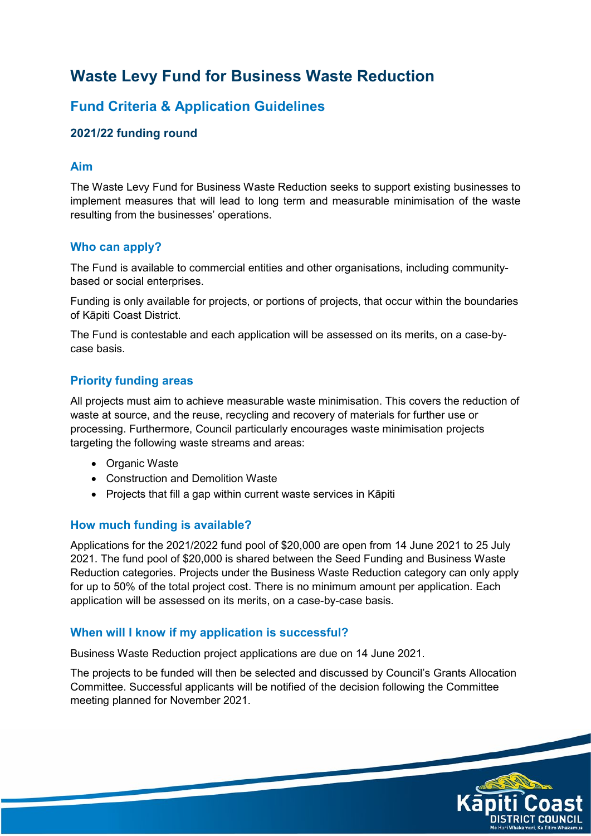# **Waste Levy Fund for Business Waste Reduction**

## **Fund Criteria & Application Guidelines**

## **2021/22 funding round**

#### **Aim**

The Waste Levy Fund for Business Waste Reduction seeks to support existing businesses to implement measures that will lead to long term and measurable minimisation of the waste resulting from the businesses' operations.

#### **Who can apply?**

The Fund is available to commercial entities and other organisations, including communitybased or social enterprises.

Funding is only available for projects, or portions of projects, that occur within the boundaries of Kāpiti Coast District.

The Fund is contestable and each application will be assessed on its merits, on a case-bycase basis.

#### **Priority funding areas**

All projects must aim to achieve measurable waste minimisation. This covers the reduction of waste at source, and the reuse, recycling and recovery of materials for further use or processing. Furthermore, Council particularly encourages waste minimisation projects targeting the following waste streams and areas:

- Organic Waste
- Construction and Demolition Waste
- Projects that fill a gap within current waste services in Kāpiti

## **How much funding is available?**

Applications for the 2021/2022 fund pool of \$20,000 are open from 14 June 2021 to 25 July 2021. The fund pool of \$20,000 is shared between the Seed Funding and Business Waste Reduction categories. Projects under the Business Waste Reduction category can only apply for up to 50% of the total project cost. There is no minimum amount per application. Each application will be assessed on its merits, on a case-by-case basis.

#### **When will I know if my application is successful?**

Business Waste Reduction project applications are due on 14 June 2021.

The projects to be funded will then be selected and discussed by Council's Grants Allocation Committee. Successful applicants will be notified of the decision following the Committee meeting planned for November 2021.

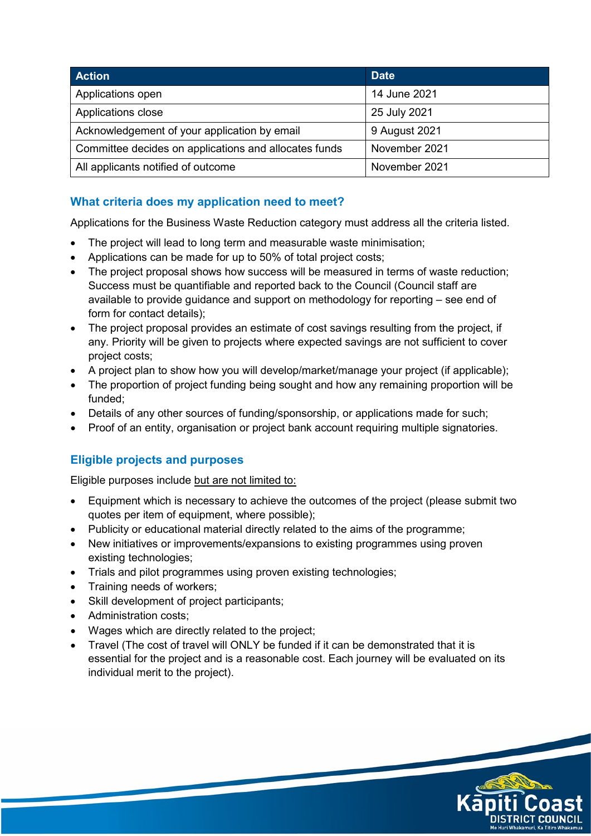| <b>Action</b>                                         | <b>Date</b>   |
|-------------------------------------------------------|---------------|
| Applications open                                     | 14 June 2021  |
| Applications close                                    | 25 July 2021  |
| Acknowledgement of your application by email          | 9 August 2021 |
| Committee decides on applications and allocates funds | November 2021 |
| All applicants notified of outcome                    | November 2021 |

## **What criteria does my application need to meet?**

Applications for the Business Waste Reduction category must address all the criteria listed.

- The project will lead to long term and measurable waste minimisation;
- Applications can be made for up to 50% of total project costs;
- The project proposal shows how success will be measured in terms of waste reduction; Success must be quantifiable and reported back to the Council (Council staff are available to provide guidance and support on methodology for reporting – see end of form for contact details);
- The project proposal provides an estimate of cost savings resulting from the project, if any. Priority will be given to projects where expected savings are not sufficient to cover project costs;
- A project plan to show how you will develop/market/manage your project (if applicable);
- The proportion of project funding being sought and how any remaining proportion will be funded;
- Details of any other sources of funding/sponsorship, or applications made for such;
- Proof of an entity, organisation or project bank account requiring multiple signatories.

## **Eligible projects and purposes**

Eligible purposes include but are not limited to:

- Equipment which is necessary to achieve the outcomes of the project (please submit two quotes per item of equipment, where possible);
- Publicity or educational material directly related to the aims of the programme;
- New initiatives or improvements/expansions to existing programmes using proven existing technologies;
- Trials and pilot programmes using proven existing technologies;
- Training needs of workers:
- Skill development of project participants;
- Administration costs:
- Wages which are directly related to the project;
- Travel (The cost of travel will ONLY be funded if it can be demonstrated that it is essential for the project and is a reasonable cost. Each journey will be evaluated on its individual merit to the project).

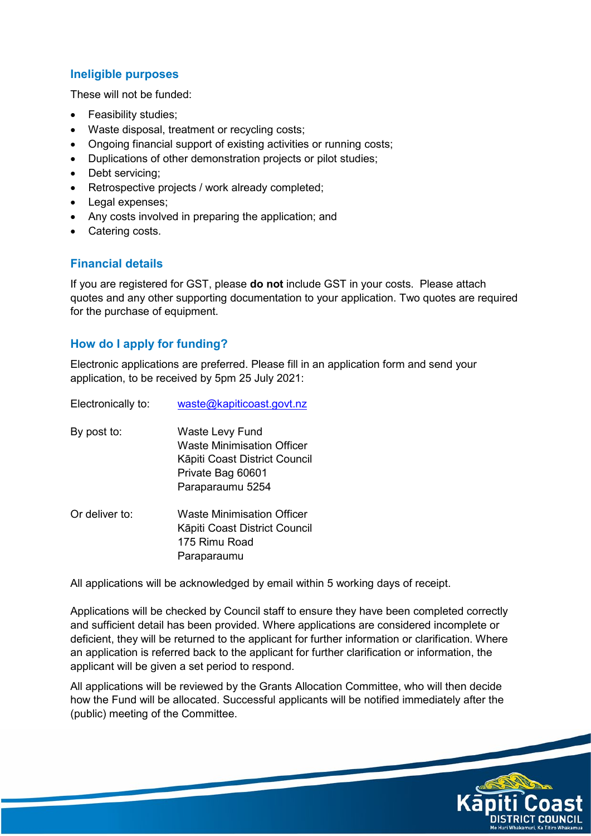## **Ineligible purposes**

These will not be funded:

- Feasibility studies;
- Waste disposal, treatment or recycling costs;
- Ongoing financial support of existing activities or running costs;
- Duplications of other demonstration projects or pilot studies;
- Debt servicing;
- Retrospective projects / work already completed;
- Legal expenses;
- Any costs involved in preparing the application; and
- Catering costs.

## **Financial details**

If you are registered for GST, please **do not** include GST in your costs. Please attach quotes and any other supporting documentation to your application. Two quotes are required for the purchase of equipment.

#### **How do I apply for funding?**

Electronic applications are preferred. Please fill in an application form and send your application, to be received by 5pm 25 July 2021:

| Electronically to: | waste@kapiticoast.govt.nz                                                                                                      |
|--------------------|--------------------------------------------------------------------------------------------------------------------------------|
| By post to:        | Waste Levy Fund<br><b>Waste Minimisation Officer</b><br>Kāpiti Coast District Council<br>Private Bag 60601<br>Paraparaumu 5254 |
| Or deliver to:     | <b>Waste Minimisation Officer</b><br>Kāpiti Coast District Council<br>175 Rimu Road<br>Paraparaumu                             |

All applications will be acknowledged by email within 5 working days of receipt.

Applications will be checked by Council staff to ensure they have been completed correctly and sufficient detail has been provided. Where applications are considered incomplete or deficient, they will be returned to the applicant for further information or clarification. Where an application is referred back to the applicant for further clarification or information, the applicant will be given a set period to respond.

All applications will be reviewed by the Grants Allocation Committee, who will then decide how the Fund will be allocated. Successful applicants will be notified immediately after the (public) meeting of the Committee.